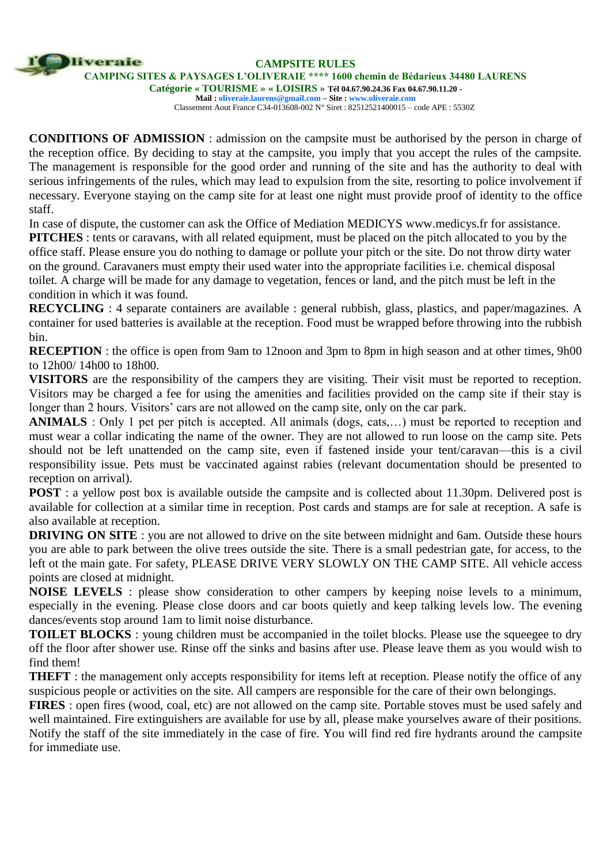**CAMPSITE RULES**

**CAMPING SITES & PAYSAGES L'OLIVERAIE \*\*\*\* 1600 chemin de Bédarieux 34480 LAURENS** 

liveraie

**Catégorie « TOURISME » « LOISIRS » Tél 04.67.90.24.36 Fax 04.67.90.11.20 - Mail [: oliveraie.laurens@gmail.com –](mailto:oliveraie.laurens@gmail.com) Site [: www.oliveraie.com](http://www.oliveraie.com/)**

Classement Aout France C34-013608-002 N° Siret : 82512521400015 – code APE : 5530Z

**CONDITIONS OF ADMISSION** : admission on the campsite must be authorised by the person in charge of the reception office. By deciding to stay at the campsite, you imply that you accept the rules of the campsite. The management is responsible for the good order and running of the site and has the authority to deal with serious infringements of the rules, which may lead to expulsion from the site, resorting to police involvement if necessary. Everyone staying on the camp site for at least one night must provide proof of identity to the office staff.

In case of dispute, the customer can ask the Office of Mediation MEDICYS [www.medicys.fr f](http://www.medicys.fr/)or assistance.

**PITCHES** : tents or caravans, with all related equipment, must be placed on the pitch allocated to you by the office staff. Please ensure you do nothing to damage or pollute your pitch or the site. Do not throw dirty water on the ground. Caravaners must empty their used water into the appropriate facilities i.e. chemical disposal toilet. A charge will be made for any damage to vegetation, fences or land, and the pitch must be left in the condition in which it was found.

**RECYCLING** : 4 separate containers are available : general rubbish, glass, plastics, and paper/magazines. A container for used batteries is available at the reception. Food must be wrapped before throwing into the rubbish bin.

**RECEPTION**: the office is open from 9am to 12noon and 3pm to 8pm in high season and at other times, 9h00 to 12h00/ 14h00 to 18h00.

**VISITORS** are the responsibility of the campers they are visiting. Their visit must be reported to reception. Visitors may be charged a fee for using the amenities and facilities provided on the camp site if their stay is longer than 2 hours. Visitors' cars are not allowed on the camp site, only on the car park.

**ANIMALS** : Only 1 pet per pitch is accepted. All animals (dogs, cats,…) must be reported to reception and must wear a collar indicating the name of the owner. They are not allowed to run loose on the camp site. Pets should not be left unattended on the camp site, even if fastened inside your tent/caravan—this is a civil responsibility issue. Pets must be vaccinated against rabies (relevant documentation should be presented to reception on arrival).

**POST** : a yellow post box is available outside the campsite and is collected about 11.30pm. Delivered post is available for collection at a similar time in reception. Post cards and stamps are for sale at reception. A safe is also available at reception.

**DRIVING ON SITE**: you are not allowed to drive on the site between midnight and 6am. Outside these hours you are able to park between the olive trees outside the site. There is a small pedestrian gate, for access, to the left ot the main gate. For safety, PLEASE DRIVE VERY SLOWLY ON THE CAMP SITE. All vehicle access points are closed at midnight.

**NOISE LEVELS** : please show consideration to other campers by keeping noise levels to a minimum, especially in the evening. Please close doors and car boots quietly and keep talking levels low. The evening dances/events stop around 1am to limit noise disturbance.

**TOILET BLOCKS**: young children must be accompanied in the toilet blocks. Please use the squeegee to dry off the floor after shower use. Rinse off the sinks and basins after use. Please leave them as you would wish to find them!

**THEFT** : the management only accepts responsibility for items left at reception. Please notify the office of any suspicious people or activities on the site. All campers are responsible for the care of their own belongings.

**FIRES** : open fires (wood, coal, etc) are not allowed on the camp site. Portable stoves must be used safely and well maintained. Fire extinguishers are available for use by all, please make yourselves aware of their positions. Notify the staff of the site immediately in the case of fire. You will find red fire hydrants around the campsite for immediate use.